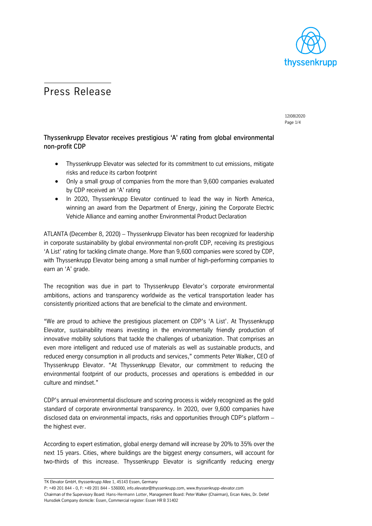

# Press Release

12|08|2020 Page 1/4

## Thyssenkrupp Elevator receives prestigious 'A' rating from global environmental non-profit CDP

- Thyssenkrupp Elevator was selected for its commitment to cut emissions, mitigate risks and reduce its carbon footprint
- Only a small group of companies from the more than 9,600 companies evaluated by CDP received an 'A' rating
- In 2020, Thyssenkrupp Elevator continued to lead the way in North America, winning an award from the Department of Energy, joining the Corporate Electric Vehicle Alliance and earning another Environmental Product Declaration

ATLANTA (December 8, 2020) – Thyssenkrupp Elevator has been recognized for leadership in corporate sustainability by global environmental non-profit CDP, receiving its prestigious 'A List' rating for tackling climate change. More than 9,600 companies were scored by CDP, with Thyssenkrupp Elevator being among a small number of high-performing companies to earn an 'A' grade.

The recognition was due in part to Thyssenkrupp Elevator's corporate environmental ambitions, actions and transparency worldwide as the vertical transportation leader has consistently prioritized actions that are beneficial to the climate and environment.

"We are proud to achieve the prestigious placement on CDP's 'A List'. At Thyssenkrupp Elevator, sustainability means investing in the environmentally friendly production of innovative mobility solutions that tackle the challenges of urbanization. That comprises an even more intelligent and reduced use of materials as well as sustainable products, and reduced energy consumption in all products and services," comments Peter Walker, CEO of Thyssenkrupp Elevator. "At Thyssenkrupp Elevator, our commitment to reducing the environmental footprint of our products, processes and operations is embedded in our culture and mindset."

CDP's annual environmental disclosure and scoring process is widely recognized as the gold standard of corporate environmental transparency. In 2020, over 9,600 companies have disclosed data on environmental impacts, risks and opportunities through CDP's platform – the highest ever.

According to expert estimation, global energy demand will increase by 20% to 35% over the next 15 years. Cities, where buildings are the biggest energy consumers, will account for two-thirds of this increase. Thyssenkrupp Elevator is significantly reducing energy

TK Elevator GmbH, thyssenkrupp Allee 1, 45143 Essen, Germany

P: +49 201 844 - 0, F: +49 201 844 - 536000, info.elevator@thyssenkrupp.com, www.thyssenkrupp-elevator.com Chairman of the Supervisory Board: Hans-Hermann Lotter, Management Board: Peter Walker (Chairman), Ercan Keles, Dr. Detlef Hunsdiek Company domicile: Essen, Commercial register: Essen HR B 31402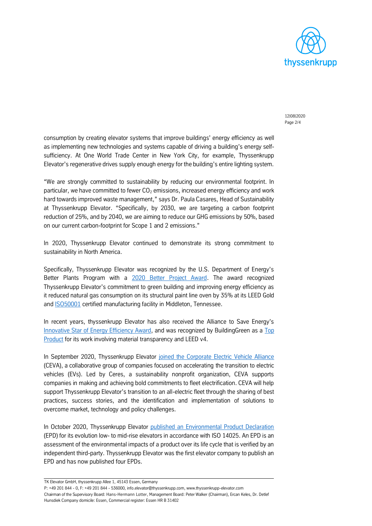

12|08|2020 Page 2/4

consumption by creating elevator systems that improve buildings' energy efficiency as well as implementing new technologies and systems capable of driving a building's energy selfsufficiency. At One World Trade Center in New York City, for example, Thyssenkrupp Elevator's regenerative drives supply enough energy for the building's entire lighting system.

"We are strongly committed to sustainability by reducing our environmental footprint. In particular, we have committed to fewer  $CO<sub>2</sub>$  emissions, increased energy efficiency and work hard towards improved waste management," says Dr. Paula Casares, Head of Sustainability at Thyssenkrupp Elevator. "Specifically, by 2030, we are targeting a carbon footprint reduction of 25%, and by 2040, we are aiming to reduce our GHG emissions by 50%, based on our current carbon-footprint for Scope 1 and 2 emissions."

In 2020, Thyssenkrupp Elevator continued to demonstrate its strong commitment to sustainability in North America.

Specifically, Thyssenkrupp Elevator was recognized by the U.S. Department of Energy's Better Plants Program with a [2020 Better Project Award.](https://storage.thyssenkruppelevator.com/assets/downloads/news/pr/tkE-AwardFromDepartmentOfEnergy-06292020.pdf) The award recognized Thyssenkrupp Elevator's commitment to green building and improving energy efficiency as it reduced natural gas consumption on its structural paint line oven by 35% at its LEED Gold and **ISO50001** certified manufacturing facility in Middleton, Tennessee.

In recent years, thyssenkrupp Elevator has also received the Alliance to Save Energy's [Innovative Star of Energy Efficiency Award,](https://storage.thyssenkruppelevator.com/assets/downloads/news/pr/tkE-MULTIEnergyEfficiencyAward-07182018.pdf) and was recognized by BuildingGreen as a [Top](https://storage.thyssenkruppelevator.com/assets/downloads/news/pr/tke-BuildingGreen-11092017.pdf)  [Product](https://storage.thyssenkruppelevator.com/assets/downloads/news/pr/tke-BuildingGreen-11092017.pdf) for its work involving material transparency and LEED v4.

In September 2020, Thyssenkrupp Elevator [joined the Corporate Electric Vehicle Alliance](https://storage.thyssenkruppelevator.com/assets/downloads/news/pr/tkE-CEVAPartnership-09232020.pdf) (CEVA), a collaborative group of companies focused on accelerating the transition to electric vehicles (EVs). Led by Ceres, a sustainability nonprofit organization, CEVA supports companies in making and achieving bold commitments to fleet electrification. CEVA will help support Thyssenkrupp Elevator's transition to an all-electric fleet through the sharing of best practices, success stories, and the identification and implementation of solutions to overcome market, technology and policy challenges.

In October 2020, Thyssenkrupp Elevator [published an Environmental Product Declaration](https://storage.thyssenkruppelevator.com/assets/downloads/news/pr/tkE-EPDEvolution-10202020.pdf) (EPD) for its evolution low- to mid-rise elevators in accordance with ISO 14025. An EPD is an assessment of the environmental impacts of a product over its life cycle that is verified by an independent third-party. Thyssenkrupp Elevator was the first elevator company to publish an EPD and has now published four EPDs.

TK Elevator GmbH, thyssenkrupp Allee 1, 45143 Essen, Germany

P: +49 201 844 - 0, F: +49 201 844 - 536000, info.elevator@thyssenkrupp.com, www.thyssenkrupp-elevator.com Chairman of the Supervisory Board: Hans-Hermann Lotter, Management Board: Peter Walker (Chairman), Ercan Keles, Dr. Detlef Hunsdiek Company domicile: Essen, Commercial register: Essen HR B 31402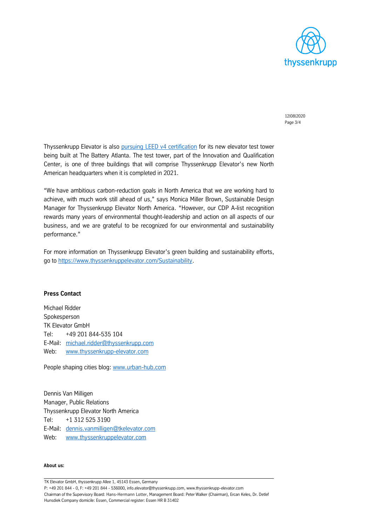

12|08|2020 Page 3/4

Thyssenkrupp Elevator is also [pursuing LEED v4 certification](https://storage.thyssenkruppelevator.com/assets/downloads/news/pr/tkE-TKELeedCertification-08062019.pdf) for its new elevator test tower being built at The Battery Atlanta. The test tower, part of the Innovation and Qualification Center, is one of three buildings that will comprise Thyssenkrupp Elevator's new North American headquarters when it is completed in 2021.

"We have ambitious carbon-reduction goals in North America that we are working hard to achieve, with much work still ahead of us," says Monica Miller Brown, Sustainable Design Manager for Thyssenkrupp Elevator North America. "However, our CDP A-list recognition rewards many years of environmental thought-leadership and action on all aspects of our business, and we are grateful to be recognized for our environmental and sustainability performance."

For more information on Thyssenkrupp Elevator's green building and sustainability efforts, go to [https://www.thyssenkruppelevator.com/Sustainability.](https://www.thyssenkruppelevator.com/Sustainability)

## **Press Contact**

Michael Ridder Spokesperson TK Elevator GmbH Tel: +49 201 844-535 104 E-Mail: [michael.ridder@thyssenkrupp.com](mailto:michael.ridder@thyssenkrupp.com) Web: [www.thyssenkrupp-elevator.com](file:///C:/Users/KrzeszoE/AppData/Local/Microsoft/Windows/Temporary%20Internet%20Files/lsorgenicht/AppData/Local/Microsoft/Windows/Temporary%20Internet%20Files/Content.Outlook/V9CWVB6S/www.thyssenkrupp-elevator.com)

People shaping cities blog[: www.urban-hub.com](http://www.urban-hub.com/)

Dennis Van Milligen Manager, Public Relations Thyssenkrupp Elevator North America Tel: +1 312 525 3190 E-Mail: [dennis.vanmilligen@tkelevator.com](mailto:dennis.vanmilligen@tkelevator.com) Web: [www.thyssenkruppelevator.com](http://www.thyssenkruppelevator.com/)

### **About us:**

TK Elevator GmbH, thyssenkrupp Allee 1, 45143 Essen, Germany

P: +49 201 844 - 0, F: +49 201 844 - 536000, info.elevator@thyssenkrupp.com, www.thyssenkrupp-elevator.com Chairman of the Supervisory Board: Hans-Hermann Lotter, Management Board: Peter Walker (Chairman), Ercan Keles, Dr. Detlef Hunsdiek Company domicile: Essen, Commercial register: Essen HR B 31402